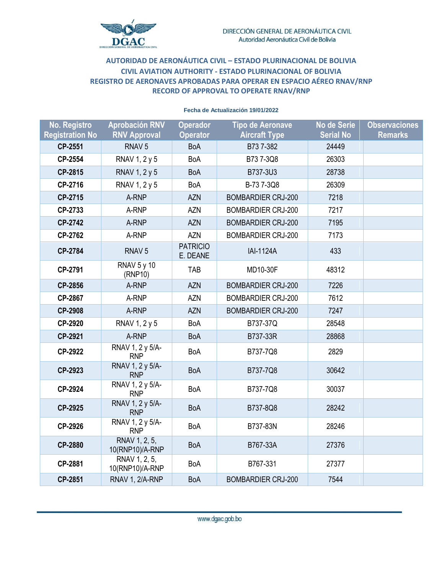

## **AUTORIDAD DE AERONÁUTICA CIVIL – ESTADO PLURINACIONAL DE BOLIVIA CIVIL AVIATION AUTHORITY - ESTADO PLURINACIONAL OF BOLIVIA REGISTRO DE AERONAVES APROBADAS PARA OPERAR EN ESPACIO AÉREO RNAV/RNP RECORD OF APPROVAL TO OPERATE RNAV/RNP**

| No. Registro           | <b>Aprobación RNV</b>            | <b>Operador</b>             | <b>Tipo de Aeronave</b>   | No de Serie      | <b>Observaciones</b> |
|------------------------|----------------------------------|-----------------------------|---------------------------|------------------|----------------------|
| <b>Registration No</b> | <b>RNV Approval</b>              | <b>Operator</b>             | <b>Aircraft Type</b>      | <b>Serial No</b> | <b>Remarks</b>       |
| CP-2551                | RNAV <sub>5</sub>                | <b>BoA</b>                  | B737-382                  | 24449            |                      |
| CP-2554                | RNAV 1, 2 y 5                    | <b>BoA</b>                  | B737-3Q8                  | 26303            |                      |
| CP-2815                | RNAV 1, 2 y 5                    | <b>BoA</b>                  | B737-3U3                  | 28738            |                      |
| CP-2716                | RNAV 1, 2 y 5                    | <b>BoA</b>                  | B-73 7-3Q8                | 26309            |                      |
| CP-2715                | A-RNP                            | <b>AZN</b>                  | <b>BOMBARDIER CRJ-200</b> | 7218             |                      |
| CP-2733                | A-RNP                            | <b>AZN</b>                  | <b>BOMBARDIER CRJ-200</b> | 7217             |                      |
| CP-2742                | A-RNP                            | <b>AZN</b>                  | <b>BOMBARDIER CRJ-200</b> | 7195             |                      |
| CP-2762                | A-RNP                            | <b>AZN</b>                  | <b>BOMBARDIER CRJ-200</b> | 7173             |                      |
| CP-2784                | RNAV <sub>5</sub>                | <b>PATRICIO</b><br>E. DEANE | <b>IAI-1124A</b>          | 433              |                      |
| CP-2791                | <b>RNAV 5 y 10</b><br>(RNP10)    | <b>TAB</b>                  | MD10-30F                  | 48312            |                      |
| CP-2856                | A-RNP                            | <b>AZN</b>                  | <b>BOMBARDIER CRJ-200</b> | 7226             |                      |
| CP-2867                | A-RNP                            | <b>AZN</b>                  | <b>BOMBARDIER CRJ-200</b> | 7612             |                      |
| CP-2908                | A-RNP                            | <b>AZN</b>                  | <b>BOMBARDIER CRJ-200</b> | 7247             |                      |
| CP-2920                | RNAV 1, 2 y 5                    | BoA                         | B737-37Q                  | 28548            |                      |
| CP-2921                | A-RNP                            | <b>BoA</b>                  | B737-33R                  | 28868            |                      |
| CP-2922                | RNAV 1, 2 y 5/A-<br><b>RNP</b>   | <b>BoA</b>                  | B737-7Q8                  | 2829             |                      |
| CP-2923                | RNAV 1, 2 y 5/A-<br><b>RNP</b>   | <b>BoA</b>                  | B737-7Q8                  | 30642            |                      |
| CP-2924                | RNAV 1, 2 y 5/A-<br><b>RNP</b>   | <b>BoA</b>                  | B737-7Q8                  | 30037            |                      |
| CP-2925                | RNAV 1, 2 y 5/A-<br><b>RNP</b>   | <b>BoA</b>                  | B737-8Q8                  | 28242            |                      |
| CP-2926                | RNAV 1, 2 y 5/A-<br><b>RNP</b>   | BoA                         | B737-83N                  | 28246            |                      |
| CP-2880                | RNAV 1, 2, 5,<br>10(RNP10)/A-RNP | <b>BoA</b>                  | B767-33A                  | 27376            |                      |
| CP-2881                | RNAV 1, 2, 5,<br>10(RNP10)/A-RNP | BoA                         | B767-331                  | 27377            |                      |
| CP-2851                | RNAV 1, 2/A-RNP                  | <b>BoA</b>                  | <b>BOMBARDIER CRJ-200</b> | 7544             |                      |

## **Fecha de Actualización 19/01/2022**